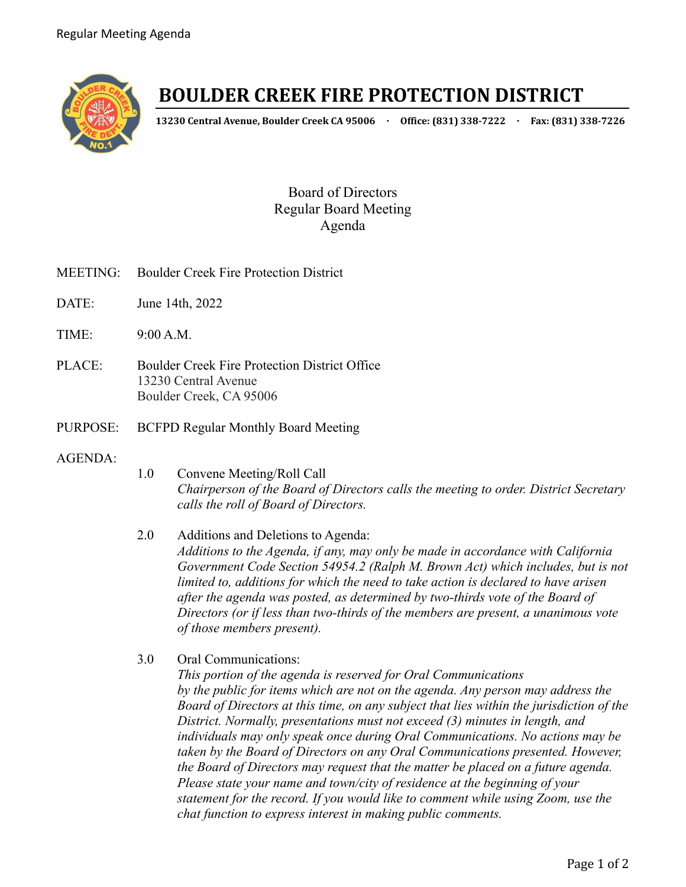

## **BOULDER CREEK FIRE PROTECTION DISTRICT**

**13230 Central Avenue, Boulder Creek CA 95006 · Office: (831) 338-7222 · Fax: (831) 338-7226**

## Board of Directors Regular Board Meeting Agenda

- MEETING: Boulder Creek Fire Protection District
- DATE: June 14th, 2022
- TIME: 9:00 A.M.
- PLACE: Boulder Creek Fire Protection District Office 13230 Central Avenue Boulder Creek, CA 95006
- PURPOSE: BCFPD Regular Monthly Board Meeting

## AGENDA:

- 1.0 Convene Meeting/Roll Call *Chairperson of the Board of Directors calls the meeting to order. District Secretary calls the roll of Board of Directors.*
- 2.0 Additions and Deletions to Agenda: *Additions to the Agenda, if any, may only be made in accordance with California Government Code Section 54954.2 (Ralph M. Brown Act) which includes, but is not limited to, additions for which the need to take action is declared to have arisen after the agenda was posted, as determined by two-thirds vote of the Board of Directors (or if less than two-thirds of the members are present, a unanimous vote of those members present).*
- 3.0 Oral Communications: *This portion of the agenda is reserved for Oral Communications by the public for items which are not on the agenda. Any person may address the Board of Directors at this time, on any subject that lies within the jurisdiction of the District. Normally, presentations must not exceed (3) minutes in length, and individuals may only speak once during Oral Communications. No actions may be taken by the Board of Directors on any Oral Communications presented. However, the Board of Directors may request that the matter be placed on a future agenda. Please state your name and town/city of residence at the beginning of your statement for the record. If you would like to comment while using Zoom, use the chat function to express interest in making public comments.*